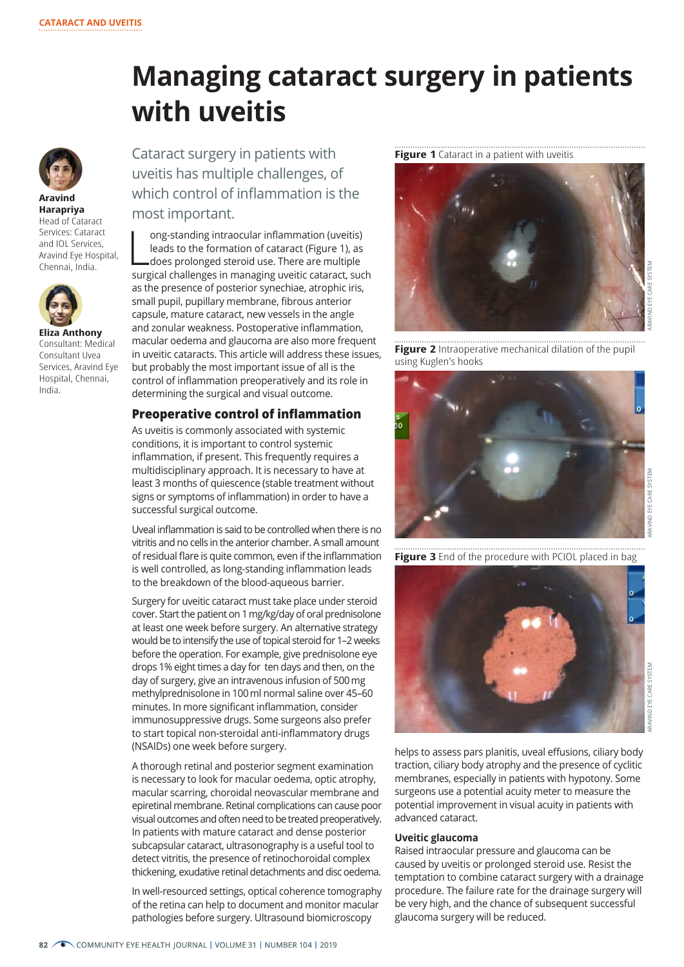# **Managing cataract surgery in patients with uveitis**



**Aravind Harapriya** Head of Cataract Services: Cataract and IOL Services, Aravind Eye Hospital, Chennai, India.



**Eliza Anthony** Consultant: Medical Consultant Uvea Services, Aravind Eye Hospital, Chennai, India.

Cataract surgery in patients with uveitis has multiple challenges, of which control of inflammation is the most important.

ong-standing intraocular inflammation (uveitis)<br>leads to the formation of cataract (Figure 1), as<br>does prolonged steroid use. There are multiple<br>surgical challenges in managing uveitic cataract, such ong-standing intraocular inflammation (uveitis) leads to the formation of cataract (Figure 1), as does prolonged steroid use. There are multiple as the presence of posterior synechiae, atrophic iris, small pupil, pupillary membrane, fibrous anterior capsule, mature cataract, new vessels in the angle and zonular weakness. Postoperative inflammation, macular oedema and glaucoma are also more frequent in uveitic cataracts. This article will address these issues, but probably the most important issue of all is the control of inflammation preoperatively and its role in determining the surgical and visual outcome.

## **Preoperative control of inflammation**

As uveitis is commonly associated with systemic conditions, it is important to control systemic inflammation, if present. This frequently requires a multidisciplinary approach. It is necessary to have at least 3 months of quiescence (stable treatment without signs or symptoms of inflammation) in order to have a successful surgical outcome.

Uveal inflammation is said to be controlled when there is no vitritis and no cells in the anterior chamber. A small amount of residual flare is quite common, even if the inflammation is well controlled, as long-standing inflammation leads to the breakdown of the blood-aqueous barrier.

Surgery for uveitic cataract must take place under steroid cover. Start the patient on 1 mg/kg/day of oral prednisolone at least one week before surgery. An alternative strategy would be to intensify the use of topical steroid for 1–2 weeks before the operation. For example, give prednisolone eye drops 1% eight times a day for ten days and then, on the day of surgery, give an intravenous infusion of 500 mg methylprednisolone in 100 ml normal saline over 45–60 minutes. In more significant inflammation, consider immunosuppressive drugs. Some surgeons also prefer to start topical non-steroidal anti-inflammatory drugs (NSAIDs) one week before surgery.

A thorough retinal and posterior segment examination is necessary to look for macular oedema, optic atrophy, macular scarring, choroidal neovascular membrane and epiretinal membrane. Retinal complications can cause poor visual outcomes and often need to be treated preoperatively. In patients with mature cataract and dense posterior subcapsular cataract, ultrasonography is a useful tool to detect vitritis, the presence of retinochoroidal complex thickening, exudative retinal detachments and disc oedema.

In well-resourced settings, optical coherence tomography of the retina can help to document and monitor macular pathologies before surgery. Ultrasound biomicroscopy

**Figure 1** Cataract in a patient with uveitis



**Figure 2** Intraoperative mechanical dilation of the pupil using Kuglen's hooks



**Figure 3** End of the procedure with PCIOL placed in bag



ARAVIND EYE CARE SYSTEM

helps to assess pars planitis, uveal effusions, ciliary body traction, ciliary body atrophy and the presence of cyclitic membranes, especially in patients with hypotony. Some surgeons use a potential acuity meter to measure the potential improvement in visual acuity in patients with advanced cataract.

#### **Uveitic glaucoma**

Raised intraocular pressure and glaucoma can be caused by uveitis or prolonged steroid use. Resist the temptation to combine cataract surgery with a drainage procedure. The failure rate for the drainage surgery will be very high, and the chance of subsequent successful glaucoma surgery will be reduced.